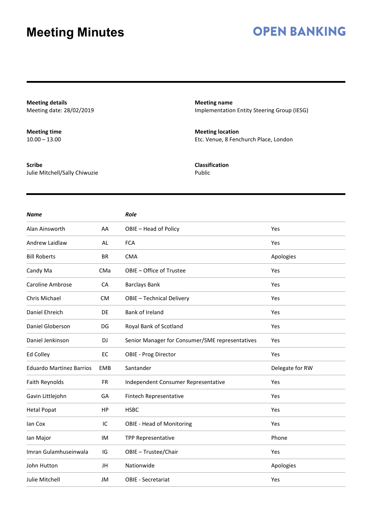### **OPEN BANKING**

**Meeting details** Meeting date: 28/02/2019

**Meeting time**  $10.00 - 13.00$ 

**Scribe** Julie Mitchell/Sally Chiwuzie **Meeting name** Implementation Entity Steering Group (IESG)

**Meeting location** Etc. Venue, 8 Fenchurch Place, London

**Classification** Public

| <b>Name</b>                     |            | Role                                            |                 |
|---------------------------------|------------|-------------------------------------------------|-----------------|
| Alan Ainsworth                  | AA         | OBIE - Head of Policy                           | Yes             |
| Andrew Laidlaw                  | AL         | <b>FCA</b>                                      | Yes             |
| <b>Bill Roberts</b>             | <b>BR</b>  | <b>CMA</b>                                      | Apologies       |
| Candy Ma                        | CMa        | OBIE - Office of Trustee                        | Yes             |
| <b>Caroline Ambrose</b>         | CA         | <b>Barclays Bank</b>                            | Yes             |
| Chris Michael                   | <b>CM</b>  | OBIE - Technical Delivery                       | Yes             |
| Daniel Ehreich                  | DE         | Bank of Ireland                                 | Yes             |
| Daniel Globerson                | DG         | Royal Bank of Scotland                          | Yes             |
| Daniel Jenkinson                | <b>DJ</b>  | Senior Manager for Consumer/SME representatives | Yes             |
| Ed Colley                       | EC         | <b>OBIE - Prog Director</b>                     | Yes             |
| <b>Eduardo Martinez Barrios</b> | <b>EMB</b> | Santander                                       | Delegate for RW |
| Faith Reynolds                  | <b>FR</b>  | Independent Consumer Representative             | Yes             |
| Gavin Littlejohn                | GA         | <b>Fintech Representative</b>                   | Yes             |
| <b>Hetal Popat</b>              | <b>HP</b>  | <b>HSBC</b>                                     | Yes             |
| lan Cox                         | IC         | <b>OBIE - Head of Monitoring</b>                | Yes             |
| lan Major                       | IM         | TPP Representative                              | Phone           |
| Imran Gulamhuseinwala           | IG         | OBIE - Trustee/Chair                            | Yes             |
| John Hutton                     | JH         | Nationwide                                      | Apologies       |
| Julie Mitchell                  | JM         | <b>OBIE - Secretariat</b>                       | Yes             |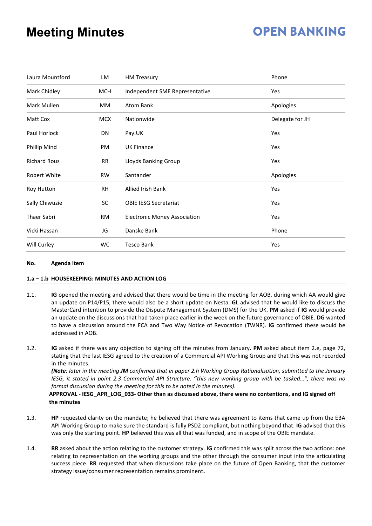## **OPEN BANKING**

| Laura Mountford     | LM         | <b>HM Treasury</b>                  | Phone           |
|---------------------|------------|-------------------------------------|-----------------|
| Mark Chidley        | <b>MCH</b> | Independent SME Representative      | Yes             |
| Mark Mullen         | МM         | Atom Bank                           | Apologies       |
| Matt Cox            | <b>MCX</b> | Nationwide                          | Delegate for JH |
| Paul Horlock        | DN         | Pay.UK                              | Yes             |
| Phillip Mind        | PM         | <b>UK Finance</b>                   | Yes             |
| <b>Richard Rous</b> | <b>RR</b>  | Lloyds Banking Group                | Yes             |
| Robert White        | RW         | Santander                           | Apologies       |
| Roy Hutton          | <b>RH</b>  | Allied Irish Bank                   | Yes             |
| Sally Chiwuzie      | <b>SC</b>  | <b>OBIE IESG Secretariat</b>        | Yes             |
| Thaer Sabri         | <b>RM</b>  | <b>Electronic Money Association</b> | Yes             |
| Vicki Hassan        | JG         | Danske Bank                         | Phone           |
| Will Curley         | WC         | <b>Tesco Bank</b>                   | Yes             |

#### **No. Agenda item**

#### **1.a – 1.b HOUSEKEEPING: MINUTES AND ACTION LOG**

- 1.1. **IG** opened the meeting and advised that there would be time in the meeting for AOB, during which AA would give an update on P14/P15, there would also be a short update on Nesta. **GL** advised that he would like to discuss the MasterCard intention to provide the Dispute Management System (DMS) for the UK. **PM** asked if **IG** would provide an update on the discussions that had taken place earlier in the week on the future governance of OBIE. **DG** wanted to have a discussion around the FCA and Two Way Notice of Revocation (TWNR). **IG** confirmed these would be addressed in AOB.
- 1.2. **IG** asked if there was any objection to signing off the minutes from January. **PM** asked about item 2.e, page 72, stating that the last IESG agreed to the creation of a Commercial API Working Group and that this was not recorded in the minutes.

*(Note: later in the meeting JM confirmed that in paper 2.h Working Group Rationalisation, submitted to the January IESG, it stated in point 2.3 Commercial API Structure. ''this new working group with be tasked…", there was no formal discussion during the meeting for this to be noted in the minutes).*

#### **APPROVAL - IESG\_APR\_LOG\_033- Other than as discussed above, there were no contentions, and IG signed off the minutes**

- 1.3. **HP** requested clarity on the mandate; he believed that there was agreement to items that came up from the EBA API Working Group to make sure the standard is fully PSD2 compliant, but nothing beyond that. **IG** advised that this was only the starting point. **HP** believed this was all that was funded, and in scope of the OBIE mandate.
- 1.4. **RR** asked about the action relating to the customer strategy. **IG** confirmed this was split across the two actions: one relating to representation on the working groups and the other through the consumer input into the articulating success piece. **RR** requested that when discussions take place on the future of Open Banking, that the customer strategy issue/consumer representation remains prominent**.**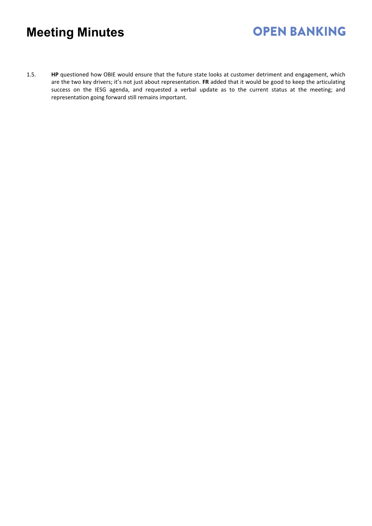1.5. **HP** questioned how OBIE would ensure that the future state looks at customer detriment and engagement, which are the two key drivers; it's not just about representation. **FR** added that it would be good to keep the articulating success on the IESG agenda, and requested a verbal update as to the current status at the meeting; and representation going forward still remains important.

**OPEN BANKING**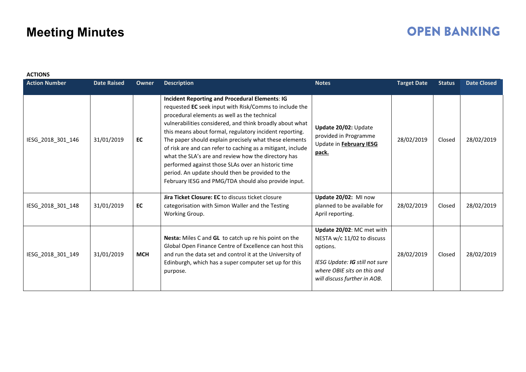### **OPEN BANKING**

| <b>ACTIONS</b>       |                    |              |                                                                                                                                                                                                                                                                                                                                                                                                                                                                                                                                                                                                                                          |                                                                                                                                                                      |                    |               |                    |
|----------------------|--------------------|--------------|------------------------------------------------------------------------------------------------------------------------------------------------------------------------------------------------------------------------------------------------------------------------------------------------------------------------------------------------------------------------------------------------------------------------------------------------------------------------------------------------------------------------------------------------------------------------------------------------------------------------------------------|----------------------------------------------------------------------------------------------------------------------------------------------------------------------|--------------------|---------------|--------------------|
| <b>Action Number</b> | <b>Date Raised</b> | <b>Owner</b> | <b>Description</b>                                                                                                                                                                                                                                                                                                                                                                                                                                                                                                                                                                                                                       | <b>Notes</b>                                                                                                                                                         | <b>Target Date</b> | <b>Status</b> | <b>Date Closed</b> |
| IESG_2018_301_146    | 31/01/2019         | EC           | <b>Incident Reporting and Procedural Elements: IG</b><br>requested EC seek input with Risk/Comms to include the<br>procedural elements as well as the technical<br>vulnerabilities considered, and think broadly about what<br>this means about formal, regulatory incident reporting.<br>The paper should explain precisely what these elements<br>of risk are and can refer to caching as a mitigant, include<br>what the SLA's are and review how the directory has<br>performed against those SLAs over an historic time<br>period. An update should then be provided to the<br>February IESG and PMG/TDA should also provide input. | Update 20/02: Update<br>provided in Programme<br>Update in February IESG<br>pack.                                                                                    | 28/02/2019         | Closed        | 28/02/2019         |
| IESG_2018_301_148    | 31/01/2019         | EC           | <b>Jira Ticket Closure: EC</b> to discuss ticket closure<br>categorisation with Simon Waller and the Testing<br>Working Group.                                                                                                                                                                                                                                                                                                                                                                                                                                                                                                           | Update 20/02: MI now<br>planned to be available for<br>April reporting.                                                                                              | 28/02/2019         | Closed        | 28/02/2019         |
| IESG 2018 301 149    | 31/01/2019         | <b>MCH</b>   | Nesta: Miles C and GL to catch up re his point on the<br>Global Open Finance Centre of Excellence can host this<br>and run the data set and control it at the University of<br>Edinburgh, which has a super computer set up for this<br>purpose.                                                                                                                                                                                                                                                                                                                                                                                         | Update 20/02: MC met with<br>NESTA w/c 11/02 to discuss<br>options.<br>IESG Update: IG still not sure<br>where OBIE sits on this and<br>will discuss further in AOB. | 28/02/2019         | Closed        | 28/02/2019         |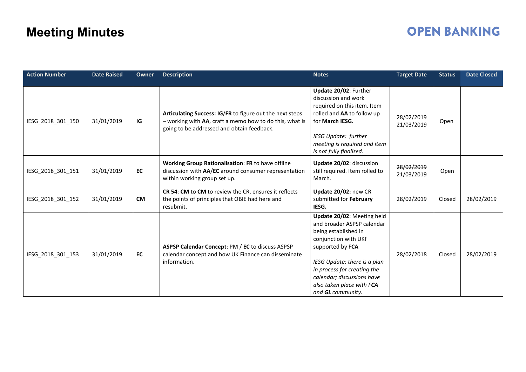### **OPEN BANKING**

| <b>Action Number</b> | <b>Date Raised</b> | <b>Owner</b> | <b>Description</b>                                                                                                                                                | <b>Notes</b>                                                                                                                                                                                                                                                                | <b>Target Date</b>       | <b>Status</b> | <b>Date Closed</b> |
|----------------------|--------------------|--------------|-------------------------------------------------------------------------------------------------------------------------------------------------------------------|-----------------------------------------------------------------------------------------------------------------------------------------------------------------------------------------------------------------------------------------------------------------------------|--------------------------|---------------|--------------------|
| IESG_2018_301_150    | 31/01/2019         | IG           | Articulating Success: IG/FR to figure out the next steps<br>- working with AA, craft a memo how to do this, what is<br>going to be addressed and obtain feedback. | Update 20/02: Further<br>discussion and work<br>required on this item. Item<br>rolled and AA to follow up<br>for March IESG.                                                                                                                                                | 28/02/2019<br>21/03/2019 | Open          |                    |
|                      |                    |              |                                                                                                                                                                   | <b>IESG Update: further</b><br>meeting is required and item<br>is not fully finalised.                                                                                                                                                                                      |                          |               |                    |
| IESG 2018 301 151    | 31/01/2019         | EC           | Working Group Rationalisation: FR to have offline<br>discussion with AA/EC around consumer representation<br>within working group set up.                         | Update 20/02: discussion<br>still required. Item rolled to<br>March.                                                                                                                                                                                                        | 28/02/2019<br>21/03/2019 | Open          |                    |
| IESG_2018_301_152    | 31/01/2019         | <b>CM</b>    | CR 54: CM to CM to review the CR, ensures it reflects<br>the points of principles that OBIE had here and<br>resubmit.                                             | Update 20/02: new CR<br>submitted for February<br>IESG.                                                                                                                                                                                                                     | 28/02/2019               | Closed        | 28/02/2019         |
| IESG_2018_301_153    | 31/01/2019         | EC           | ASPSP Calendar Concept: PM / EC to discuss ASPSP<br>calendar concept and how UK Finance can disseminate<br>information.                                           | Update 20/02: Meeting held<br>and broader ASPSP calendar<br>being established in<br>conjunction with UKF<br>supported by FCA<br>IESG Update: there is a plan<br>in process for creating the<br>calendar; discussions have<br>also taken place with FCA<br>and GL community. | 28/02/2018               | Closed        | 28/02/2019         |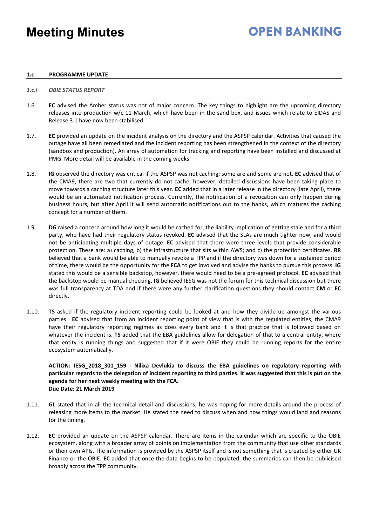## **OPEN BANKING**

#### **1.c PROGRAMME UPDATE**

#### *1.c.i OBIE STATUS REPORT*

- 1.6. **EC** advised the Amber status was not of major concern. The key things to highlight are the upcoming directory releases into production w/c 11 March, which have been in the sand box, and issues which relate to EIDAS and Release 3.1 have now been stabilised.
- 1.7. **EC** provided an update on the incident analysis on the directory and the ASPSP calendar. Activities that caused the outage have all been remediated and the incident reporting has been strengthened in the context of the directory (sandbox and production). An array of automation for tracking and reporting have been installed and discussed at PMG. More detail will be available in the coming weeks.
- 1.8. **IG** observed the directory was critical if the ASPSP was not caching; some are and some are not. **EC** advised that of the CMA9, there are two that currently do not cache, however, detailed discussions have been taking place to move towards a caching structure later this year. **EC** added that in a later release in the directory (late April), there would be an automated notification process. Currently, the notification of a revocation can only happen during business hours, but after April it will send automatic notifications out to the banks, which matures the caching concept for a number of them.
- 1.9. **DG** raised a concern around how long it would be cached for, the liability implication of getting stale and for a third party, who have had their regulatory status revoked. **EC** advised that the SLAs are much tighter now, and would not be anticipating multiple days of outage. **EC** advised that there were three levels that provide considerable protection. These are: a) caching, b) the infrastructure that sits within AWS; and c) the protection certificates. **RR** believed that a bank would be able to manually revoke a TPP and if the directory was down for a sustained period of time, there would be the opportunity for the **FCA** to get involved and advise the banks to pursue this process. **IG** stated this would be a sensible backstop, however, there would need to be a pre-agreed protocol. **EC** advised that the backstop would be manual checking. **IG** believed IESG was not the forum for this technical discussion but there was full transparency at TDA and if there were any further clarification questions they should contact **CM** or **EC** directly.
- 1.10. **TS** asked if the regulatory incident reporting could be looked at and how they divide up amongst the various parties. **EC** advised that from an incident reporting point of view that is with the regulated entities; the CMA9 have their regulatory reporting regimes as does every bank and it is that practice that is followed based on whatever the incident is. **TS** added that the EBA guidelines allow for delegation of that to a central entity, where that entity is running things and suggested that if it were OBIE they could be running reports for the entire ecosystem automatically.

#### **ACTION: IESG\_2018\_301\_159 - Nilixa Devlukia to discuss the EBA guidelines on regulatory reporting with particular regards to the delegation of incident reporting to third parties. It was suggested that this is put on the agenda for her next weekly meeting with the FCA. Due Date: 21 March 2019**

- 1.11. **GL** stated that in all the technical detail and discussions, he was hoping for more details around the process of releasing more items to the market. He stated the need to discuss when and how things would land and reasons for the timing.
- 1.12. **EC** provided an update on the ASPSP calendar. There are items in the calendar which are specific to the OBIE ecosystem, along with a broader array of points on implementation from the community that use other standards or their own APIs. The information is provided by the ASPSP itself and is not something that is created by either UK Finance or the OBIE. **EC** added that once the data begins to be populated, the summaries can then be publicised broadly across the TPP community.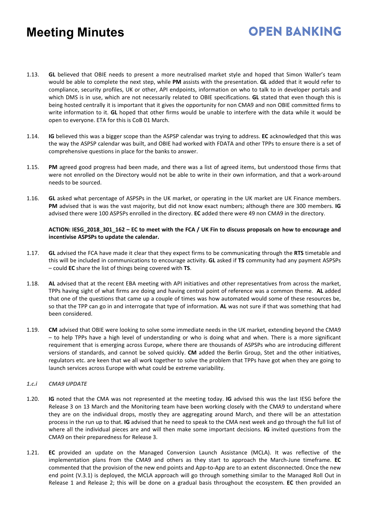1.13. **GL** believed that OBIE needs to present a more neutralised market style and hoped that Simon Waller's team would be able to complete the next step, while **PM** assists with the presentation. **GL** added that it would refer to compliance, security profiles, UK or other, API endpoints, information on who to talk to in developer portals and which DMS is in use, which are not necessarily related to OBIE specifications. **GL** stated that even though this is being hosted centrally it is important that it gives the opportunity for non CMA9 and non OBIE committed firms to write information to it. **GL** hoped that other firms would be unable to interfere with the data while it would be open to everyone. ETA for this is CoB 01 March.

**OPEN BANKING** 

- 1.14. **IG** believed this was a bigger scope than the ASPSP calendar was trying to address. **EC** acknowledged that this was the way the ASPSP calendar was built, and OBIE had worked with FDATA and other TPPs to ensure there is a set of comprehensive questions in place for the banks to answer.
- 1.15. **PM** agreed good progress had been made, and there was a list of agreed items, but understood those firms that were not enrolled on the Directory would not be able to write in their own information, and that a work-around needs to be sourced.
- 1.16. **GL** asked what percentage of ASPSPs in the UK market, or operating in the UK market are UK Finance members. **PM** advised that is was the vast majority, but did not know exact numbers; although there are 300 members. **IG** advised there were 100 ASPSPs enrolled in the directory. **EC** added there were 49 non CMA9 in the directory.

#### **ACTION: IESG\_2018\_301\_162 – EC to meet with the FCA / UK Fin to discuss proposals on how to encourage and incentivise ASPSPs to update the calendar.**

- 1.17. **GL** advised the FCA have made it clear that they expect firms to be communicating through the **RTS** timetable and this will be included in communications to encourage activity. **GL** asked if **TS** community had any payment ASPSPs – could **EC** share the list of things being covered with **TS**.
- 1.18. **AL** advised that at the recent EBA meeting with API initiatives and other representatives from across the market, TPPs having sight of what firms are doing and having central point of reference was a common theme. **AL** added that one of the questions that came up a couple of times was how automated would some of these resources be, so that the TPP can go in and interrogate that type of information. **AL** was not sure if that was something that had been considered.
- 1.19. **CM** advised that OBIE were looking to solve some immediate needs in the UK market, extending beyond the CMA9 – to help TPPs have a high level of understanding or who is doing what and when. There is a more significant requirement that is emerging across Europe, where there are thousands of ASPSPs who are introducing different versions of standards, and cannot be solved quickly. **CM** added the Berlin Group, Stet and the other initiatives, regulators etc. are keen that we all work together to solve the problem that TPPs have got when they are going to launch services across Europe with what could be extreme variability.

#### *1.c.i CMA9 UPDATE*

- 1.20. **IG** noted that the CMA was not represented at the meeting today. **IG** advised this was the last IESG before the Release 3 on 13 March and the Monitoring team have been working closely with the CMA9 to understand where they are on the individual drops, mostly they are aggregating around March, and there will be an attestation process in the run up to that. **IG** advised that he need to speak to the CMA next week and go through the full list of where all the individual pieces are and will then make some important decisions. **IG** invited questions from the CMA9 on their preparedness for Release 3.
- 1.21. **EC** provided an update on the Managed Conversion Launch Assistance (MCLA). It was reflective of the implementation plans from the CMA9 and others as they start to approach the March-June timeframe. **EC** commented that the provision of the new end points and App-to-App are to an extent disconnected. Once the new end point (V.3.1) is deployed, the MCLA approach will go through something similar to the Managed Roll Out in Release 1 and Release 2; this will be done on a gradual basis throughout the ecosystem. **EC** then provided an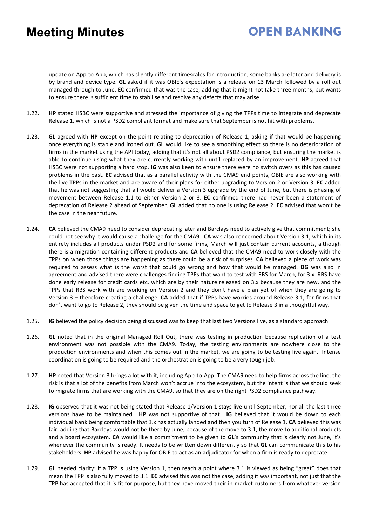## **OPEN BANKING**

update on App-to-App, which has slightly different timescales for introduction; some banks are later and delivery is by brand and device type. **GL** asked if it was OBIE's expectation is a release on 13 March followed by a roll out managed through to June. **EC** confirmed that was the case, adding that it might not take three months, but wants to ensure there is sufficient time to stabilise and resolve any defects that may arise.

- 1.22. **HP** stated HSBC were supportive and stressed the importance of giving the TPPs time to integrate and deprecate Release 1, which is not a PSD2 compliant format and make sure that September is not hit with problems.
- 1.23. **GL** agreed with **HP** except on the point relating to deprecation of Release 1, asking if that would be happening once everything is stable and ironed out. **GL** would like to see a smoothing effect so there is no deterioration of firms in the market using the API today, adding that it's not all about PSD2 compliance, but ensuring the market is able to continue using what they are currently working with until replaced by an improvement. **HP** agreed that HSBC were not supporting a hard stop. **IG** was also keen to ensure there were no switch overs as this has caused problems in the past. **EC** advised that as a parallel activity with the CMA9 end points, OBIE are also working with the live TPPs in the market and are aware of their plans for either upgrading to Version 2 or Version 3. **EC** added that he was not suggesting that all would deliver a Version 3 upgrade by the end of June, but there is phasing of movement between Release 1.1 to either Version 2 or 3. **EC** confirmed there had never been a statement of deprecation of Release 2 ahead of September. **GL** added that no one is using Release 2. **EC** advised that won't be the case in the near future.
- 1.24. **CA** believed the CMA9 need to consider deprecating later and Barclays need to actively give that commitment; she could not see why it would cause a challenge for the CMA9. **CA** was also concerned about Version 3.1, which in its entirety includes all products under PSD2 and for some firms, March will just contain current accounts, although there is a migration containing different products and **CA** believed that the CMA9 need to work closely with the TPPs on when those things are happening as there could be a risk of surprises. **CA** believed a piece of work was required to assess what is the worst that could go wrong and how that would be managed. **DG** was also in agreement and advised there were challenges finding TPPs that want to test with RBS for March, for 3.x. RBS have done early release for credit cards etc. which are by their nature released on 3.x because they are new, and the TPPs that RBS work with are working on Version 2 and they don't have a plan yet of when they are going to Version 3 – therefore creating a challenge. **CA** added that if TPPs have worries around Release 3.1, for firms that don't want to go to Release 2, they should be given the time and space to get to Release 3 in a thoughtful way.
- 1.25. **IG** believed the policy decision being discussed was to keep that last two Versions live, as a standard approach.
- 1.26. **GL** noted that in the original Managed Roll Out, there was testing in production because replication of a test environment was not possible with the CMA9. Today, the testing environments are nowhere close to the production environments and when this comes out in the market, we are going to be testing live again. Intense coordination is going to be required and the orchestration is going to be a very tough job.
- 1.27. **HP** noted that Version 3 brings a lot with it, including App-to-App. The CMA9 need to help firms across the line, the risk is that a lot of the benefits from March won't accrue into the ecosystem, but the intent is that we should seek to migrate firms that are working with the CMA9, so that they are on the right PSD2 compliance pathway.
- 1.28. **IG** observed that it was not being stated that Release 1/Version 1 stays live until September, nor all the last three versions have to be maintained. **HP** was not supportive of that. **IG** believed that it would be down to each individual bank being comfortable that 3.x has actually landed and then you turn of Release 1. **CA** believed this was fair, adding that Barclays would not be there by June, because of the move to 3.1, the move to additional products and a board ecosystem. **CA** would like a commitment to be given to **GL**'s community that is clearly not June, it's whenever the community is ready. It needs to be written down differently so that **GL** can communicate this to his stakeholders. **HP** advised he was happy for OBIE to act as an adjudicator for when a firm is ready to deprecate.
- 1.29. **GL** needed clarity: if a TPP is using Version 1, then reach a point where 3.1 is viewed as being "great" does that mean the TPP is also fully moved to 3.1. **EC** advised this was not the case, adding it was important, not just that the TPP has accepted that it is fit for purpose, but they have moved their in-market customers from whatever version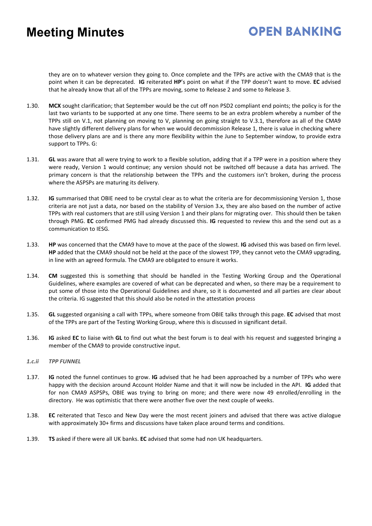## **OPEN BANKING**

they are on to whatever version they going to. Once complete and the TPPs are active with the CMA9 that is the point when it can be deprecated. **IG** reiterated **HP**'s point on what if the TPP doesn't want to move. **EC** advised that he already know that all of the TPPs are moving, some to Release 2 and some to Release 3.

- 1.30. **MCX** sought clarification; that September would be the cut off non PSD2 compliant end points; the policy is for the last two variants to be supported at any one time. There seems to be an extra problem whereby a number of the TPPs still on V.1, not planning on moving to V, planning on going straight to V.3.1, therefore as all of the CMA9 have slightly different delivery plans for when we would decommission Release 1, there is value in checking where those delivery plans are and is there any more flexibility within the June to September window, to provide extra support to TPPs. G:
- 1.31. **GL** was aware that all were trying to work to a flexible solution, adding that if a TPP were in a position where they were ready, Version 1 would continue; any version should not be switched off because a data has arrived. The primary concern is that the relationship between the TPPs and the customers isn't broken, during the process where the ASPSPs are maturing its delivery.
- 1.32. **IG** summarised that OBIE need to be crystal clear as to what the criteria are for decommissioning Version 1, those criteria are not just a data, nor based on the stability of Version 3.x, they are also based on the number of active TPPs with real customers that are still using Version 1 and their plans for migrating over. This should then be taken through PMG. **EC** confirmed PMG had already discussed this. **IG** requested to review this and the send out as a communication to IESG.
- 1.33. **HP** was concerned that the CMA9 have to move at the pace of the slowest. **IG** advised this was based on firm level. **HP** added that the CMA9 should not be held at the pace of the slowest TPP, they cannot veto the CMA9 upgrading, in line with an agreed formula. The CMA9 are obligated to ensure it works.
- 1.34. **CM** suggested this is something that should be handled in the Testing Working Group and the Operational Guidelines, where examples are covered of what can be deprecated and when, so there may be a requirement to put some of those into the Operational Guidelines and share, so it is documented and all parties are clear about the criteria. IG suggested that this should also be noted in the attestation process
- 1.35. **GL** suggested organising a call with TPPs, where someone from OBIE talks through this page. **EC** advised that most of the TPPs are part of the Testing Working Group, where this is discussed in significant detail.
- 1.36. **IG** asked **EC** to liaise with **GL** to find out what the best forum is to deal with his request and suggested bringing a member of the CMA9 to provide constructive input.
- *1.c.ii TPP FUNNEL*
- 1.37. **IG** noted the funnel continues to grow. **IG** advised that he had been approached by a number of TPPs who were happy with the decision around Account Holder Name and that it will now be included in the API. **IG** added that for non CMA9 ASPSPs, OBIE was trying to bring on more; and there were now 49 enrolled/enrolling in the directory. He was optimistic that there were another five over the next couple of weeks.
- 1.38. **EC** reiterated that Tesco and New Day were the most recent joiners and advised that there was active dialogue with approximately 30+ firms and discussions have taken place around terms and conditions.
- 1.39. **TS** asked if there were all UK banks. **EC** advised that some had non UK headquarters.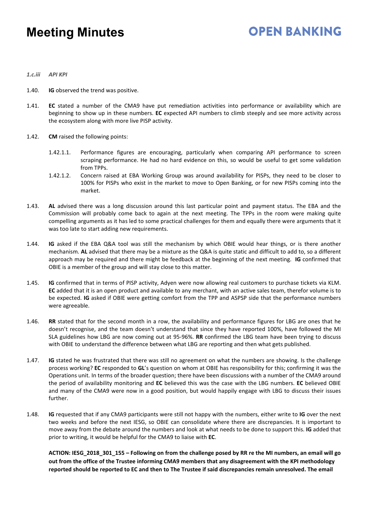### **OPEN BANKING**

- *1.c.iii API KPI*
- 1.40. **IG** observed the trend was positive.
- 1.41. **EC** stated a number of the CMA9 have put remediation activities into performance or availability which are beginning to show up in these numbers. **EC** expected API numbers to climb steeply and see more activity across the ecosystem along with more live PISP activity.
- 1.42. **CM** raised the following points:
	- 1.42.1.1. Performance figures are encouraging, particularly when comparing API performance to screen scraping performance. He had no hard evidence on this, so would be useful to get some validation from TPPs.
	- 1.42.1.2. Concern raised at EBA Working Group was around availability for PISPs, they need to be closer to 100% for PISPs who exist in the market to move to Open Banking, or for new PISPs coming into the market.
- 1.43. **AL** advised there was a long discussion around this last particular point and payment status. The EBA and the Commission will probably come back to again at the next meeting. The TPPs in the room were making quite compelling arguments as it has led to some practical challenges for them and equally there were arguments that it was too late to start adding new requirements.
- 1.44. **IG** asked if the EBA Q&A tool was still the mechanism by which OBIE would hear things, or is there another mechanism. **AL** advised that there may be a mixture as the Q&A is quite static and difficult to add to, so a different approach may be required and there might be feedback at the beginning of the next meeting. **IG** confirmed that OBIE is a member of the group and will stay close to this matter.
- 1.45. **IG** confirmed that in terms of PISP activity, Adyen were now allowing real customers to purchase tickets via KLM. **EC** added that it is an open product and available to any merchant, with an active sales team, therefor volume is to be expected. **IG** asked if OBIE were getting comfort from the TPP and ASPSP side that the performance numbers were agreeable.
- 1.46. **RR** stated that for the second month in a row, the availability and performance figures for LBG are ones that he doesn't recognise, and the team doesn't understand that since they have reported 100%, have followed the MI SLA guidelines how LBG are now coming out at 95-96%. **RR** confirmed the LBG team have been trying to discuss with OBIE to understand the difference between what LBG are reporting and then what gets published.
- 1.47. **IG** stated he was frustrated that there was still no agreement on what the numbers are showing. Is the challenge process working? **EC** responded to **GL**'s question on whom at OBIE has responsibility for this; confirming it was the Operations unit. In terms of the broader question; there have been discussions with a number of the CMA9 around the period of availability monitoring and **EC** believed this was the case with the LBG numbers. **EC** believed OBIE and many of the CMA9 were now in a good position, but would happily engage with LBG to discuss their issues further.
- 1.48. **IG** requested that if any CMA9 participants were still not happy with the numbers, either write to **IG** over the next two weeks and before the next IESG, so OBIE can consolidate where there are discrepancies. It is important to move away from the debate around the numbers and look at what needs to be done to support this. **IG** added that prior to writing, it would be helpful for the CMA9 to liaise with **EC**.

**ACTION: IESG\_2018\_301\_155 – Following on from the challenge posed by RR re the MI numbers, an email will go out from the office of the Trustee informing CMA9 members that any disagreement with the KPI methodology reported should be reported to EC and then to The Trustee if said discrepancies remain unresolved. The email**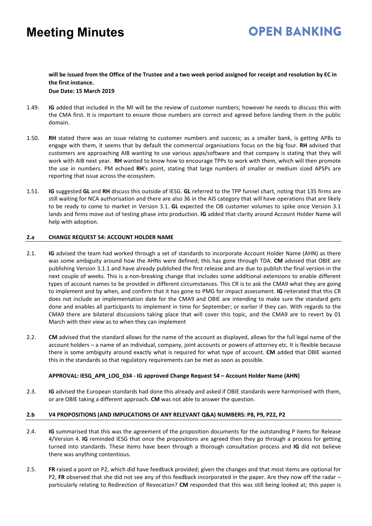## **OPEN BANKING**

#### **will be issued from the Office of the Trustee and a two week period assigned for receipt and resolution by EC in the first instance. Due Date: 15 March 2019**

- 1.49. **IG** added that included in the MI will be the review of customer numbers; however he needs to discuss this with the CMA first. It is important to ensure those numbers are correct and agreed before landing them in the public domain.
- 1.50. **RH** stated there was an issue relating to customer numbers and success; as a smaller bank, is getting APBs to engage with them, it seems that by default the commercial organisations focus on the big four. **RH** advised that customers are approaching AIB wanting to use various apps/software and that company is stating that they will work with AIB next year. **RH** wanted to know how to encourage TPPs to work with them, which will then promote the use in numbers. PM echoed **RH**'s point, stating that large numbers of smaller or medium sized APSPs are reporting that issue across the ecosystem.
- 1.51. **IG** suggested **GL** and **RH** discuss this outside of IESG. **GL** referred to the TPP funnel chart, noting that 135 firms are still waiting for NCA authorisation and there are also 36 in the AIS category that will have operations that are likely to be ready to come to market in Version 3.1. **GL** expected the OB customer volumes to spike once Version 3.1 lands and firms move out of testing phase into production. **IG** added that clarity around Account Holder Name will help with adoption.

#### **2.a CHANGE REQUEST 54: ACCOUNT HOLDER NAME**

- 2.1. **IG** advised the team had worked through a set of standards to incorporate Account Holder Name (AHN) as there was some ambiguity around how the AHNs were defined; this has gone through TDA. **CM** advised that OBIE are publishing Version 3.1.1 and have already published the first release and are due to publish the final version in the next couple of weeks. This is a non-breaking change that includes some additional extensions to enable different types of account names to be provided in different circumstances. This CR is to ask the CMA9 what they are going to implement and by when, and confirm that it has gone to PMG for impact assessment. **IG** reiterated that this CR does not include an implementation date for the CMA9 and OBIE are intending to make sure the standard gets done and enables all participants to implement in time for September; or earlier if they can. With regards to the CMA9 there are bilateral discussions taking place that will cover this topic, and the CMA9 are to revert by 01 March with their view as to when they can implement
- 2.2. **CM** advised that the standard allows for the name of the account as displayed, allows for the full legal name of the account holders – a name of an individual, company, joint accounts or powers of attorney etc. It is flexible because there is some ambiguity around exactly what is required for what type of account. **CM** added that OBIE wanted this in the standards so that regulatory requirements can be met as soon as possible.

#### **APPROVAL: IESG\_APR\_LOG\_034 - IG approved Change Request 54 – Account Holder Name (AHN)**

2.3. **IG** advised the European standards had done this already and asked if OBIE standards were harmonised with them, or are OBIE taking a different approach. **CM** was not able to answer the question.

#### **2.b V4 PROPOSITIONS (AND IMPLICATIONS OF ANY RELEVANT Q&A) NUMBERS: P8, P9, P22, P2**

- 2.4. **IG** summarised that this was the agreement of the proposition documents for the outstanding P items for Release 4/Version 4. **IG** reminded IESG that once the propositions are agreed then they go through a process for getting turned into standards. These items have been through a thorough consultation process and **IG** did not believe there was anything contentious.
- 2.5. **FR** raised a point on P2, which did have feedback provided; given the changes and that most items are optional for P2, **FR** observed that she did not see any of this feedback incorporated in the paper. Are they now off the radar – particularly relating to Redirection of Revocation? **CM** responded that this was still being looked at; this paper is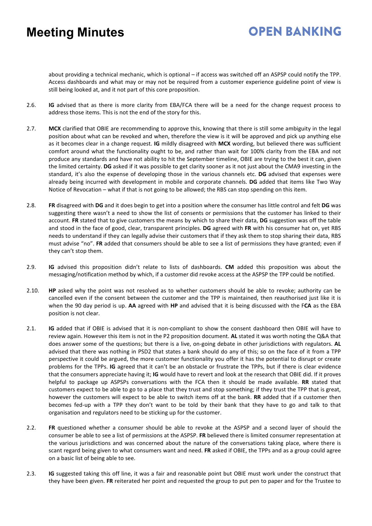## **OPEN BANKING**

about providing a technical mechanic, which is optional – if access was switched off an ASPSP could notify the TPP. Access dashboards and what may or may not be required from a customer experience guideline point of view is still being looked at, and it not part of this core proposition.

- 2.6. **IG** advised that as there is more clarity from EBA/FCA there will be a need for the change request process to address those items. This is not the end of the story for this.
- 2.7. **MCX** clarified that OBIE are recommending to approve this, knowing that there is still some ambiguity in the legal position about what can be revoked and when, therefore the view is it will be approved and pick up anything else as it becomes clear in a change request. **IG** mildly disagreed with **MCX** wording, but believed there was sufficient comfort around what the functionality ought to be, and rather than wait for 100% clarity from the EBA and not produce any standards and have not ability to hit the September timeline, OBIE are trying to the best it can, given the limited certainty. **DG** asked if it was possible to get clarity sooner as it not just about the CMA9 investing in the standard, it's also the expense of developing those in the various channels etc. **DG** advised that expenses were already being incurred with development in mobile and corporate channels. **DG** added that items like Two Way Notice of Revocation – what if that is not going to be allowed; the RBS can stop spending on this item.
- 2.8. **FR** disagreed with **DG** and it does begin to get into a position where the consumer has little control and felt **DG** was suggesting there wasn't a need to show the list of consents or permissions that the customer has linked to their account. **FR** stated that to give customers the means by which to share their data, **DG** suggestion was off the table and stood in the face of good, clear, transparent principles. **DG** agreed with **FR** with his consumer hat on, yet RBS needs to understand if they can legally advise their customers that if they ask them to stop sharing their data, RBS must advise "no". **FR** added that consumers should be able to see a list of permissions they have granted; even if they can't stop them.
- 2.9. **IG** advised this proposition didn't relate to lists of dashboards. **CM** added this proposition was about the messaging/notification method by which, if a customer did revoke access at the ASPSP the TPP could be notified.
- 2.10. **HP** asked why the point was not resolved as to whether customers should be able to revoke; authority can be cancelled even if the consent between the customer and the TPP is maintained, then reauthorised just like it is when the 90 day period is up. **AA** agreed with **HP** and advised that it is being discussed with the F**CA** as the EBA position is not clear.
- 2.1. **IG** added that if OBIE is advised that it is non-compliant to show the consent dashboard then OBIE will have to review again. However this item is not in the P2 proposition document. **AL** stated it was worth noting the Q&A that does answer some of the questions; but there is a live, on-going debate in other jurisdictions with regulators. **AL** advised that there was nothing in PSD2 that states a bank should do any of this; so on the face of it from a TPP perspective it could be argued, the more customer functionality you offer it has the potential to disrupt or create problems for the TPPs. **IG** agreed that it can't be an obstacle or frustrate the TPPs, but if there is clear evidence that the consumers appreciate having it; **IG** would have to revert and look at the research that OBIE did. If it proves helpful to package up ASPSPs conversations with the FCA then it should be made available. **RR** stated that customers expect to be able to go to a place that they trust and stop something; if they trust the TPP that is great, however the customers will expect to be able to switch items off at the bank. **RR** added that if a customer then becomes fed-up with a TPP they don't want to be told by their bank that they have to go and talk to that organisation and regulators need to be sticking up for the customer.
- 2.2. **FR** questioned whether a consumer should be able to revoke at the ASPSP and a second layer of should the consumer be able to see a list of permissions at the ASPSP. **FR** believed there is limited consumer representation at the various jurisdictions and was concerned about the nature of the conversations taking place, where there is scant regard being given to what consumers want and need. **FR** asked if OBIE, the TPPs and as a group could agree on a basic list of being able to see.
- 2.3. **IG** suggested taking this off line, it was a fair and reasonable point but OBIE must work under the construct that they have been given. **FR** reiterated her point and requested the group to put pen to paper and for the Trustee to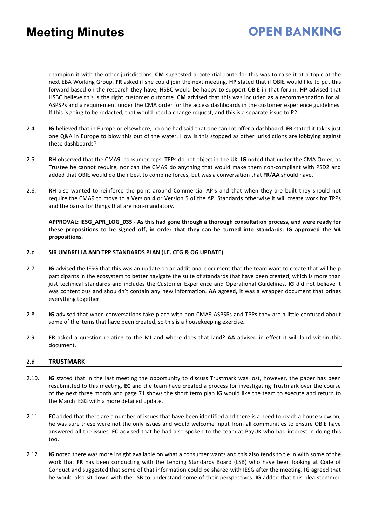## **OPEN BANKING**

champion it with the other jurisdictions. **CM** suggested a potential route for this was to raise it at a topic at the next EBA Working Group. **FR** asked if she could join the next meeting. **HP** stated that if OBIE would like to put this forward based on the research they have, HSBC would be happy to support OBIE in that forum. **HP** advised that HSBC believe this is the right customer outcome. **CM** advised that this was included as a recommendation for all ASPSPs and a requirement under the CMA order for the access dashboards in the customer experience guidelines. If this is going to be redacted, that would need a change request, and this is a separate issue to P2.

- 2.4. **IG** believed that in Europe or elsewhere, no one had said that one cannot offer a dashboard. **FR** stated it takes just one Q&A in Europe to blow this out of the water. How is this stopped as other jurisdictions are lobbying against these dashboards?
- 2.5. **RH** observed that the CMA9, consumer reps, TPPs do not object in the UK. **IG** noted that under the CMA Order, as Trustee he cannot require, nor can the CMA9 do anything that would make them non-compliant with PSD2 and added that OBIE would do their best to combine forces, but was a conversation that **FR**/**AA** should have.
- 2.6. **RH** also wanted to reinforce the point around Commercial APIs and that when they are built they should not require the CMA9 to move to a Version 4 or Version 5 of the API Standards otherwise it will create work for TPPs and the banks for things that are non-mandatory.

**APPROVAL: IESG\_APR\_LOG\_035 - As this had gone through a thorough consultation process, and were ready for these propositions to be signed off, in order that they can be turned into standards. IG approved the V4 propositions.** 

#### **2.c SIR UMBRELLA AND TPP STANDARDS PLAN (I.E. CEG & OG UPDATE)**

- 2.7. **IG** advised the IESG that this was an update on an additional document that the team want to create that will help participants in the ecosystem to better navigate the suite of standards that have been created; which is more than just technical standards and includes the Customer Experience and Operational Guidelines. **IG** did not believe it was contentious and shouldn't contain any new information. **AA** agreed, it was a wrapper document that brings everything together.
- 2.8. **IG** advised that when conversations take place with non-CMA9 ASPSPs and TPPs they are a little confused about some of the items that have been created, so this is a housekeeping exercise.
- 2.9. **FR** asked a question relating to the MI and where does that land? **AA** advised in effect it will land within this document.

#### **2.d TRUSTMARK**

- 2.10. **IG** stated that in the last meeting the opportunity to discuss Trustmark was lost, however, the paper has been resubmitted to this meeting. **EC** and the team have created a process for investigating Trustmark over the course of the next three month and page 71 shows the short term plan **IG** would like the team to execute and return to the March IESG with a more detailed update.
- 2.11. **EC** added that there are a number of issues that have been identified and there is a need to reach a house view on; he was sure these were not the only issues and would welcome input from all communities to ensure OBIE have answered all the issues. **EC** advised that he had also spoken to the team at PayUK who had interest in doing this too.
- 2.12. **IG** noted there was more insight available on what a consumer wants and this also tends to tie in with some of the work that **FR** has been conducting with the Lending Standards Board (LSB) who have been looking at Code of Conduct and suggested that some of that information could be shared with IESG after the meeting. **IG** agreed that he would also sit down with the LSB to understand some of their perspectives. **IG** added that this idea stemmed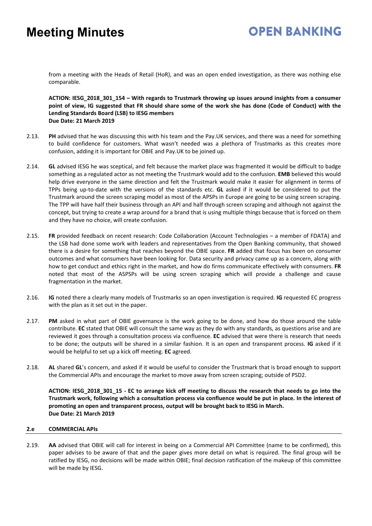### **OPEN BANKING**

from a meeting with the Heads of Retail (HoR), and was an open ended investigation, as there was nothing else comparable.

**ACTION: IESG\_2018\_301\_154 – With regards to Trustmark throwing up issues around insights from a consumer point of view, IG suggested that FR should share some of the work she has done (Code of Conduct) with the Lending Standards Board (LSB) to IESG members Due Date: 21 March 2019** 

- 2.13. **PH** advised that he was discussing this with his team and the Pay.UK services, and there was a need for something to build confidence for customers. What wasn't needed was a plethora of Trustmarks as this creates more confusion, adding it is important for OBIE and Pay.UK to be joined up.
- 2.14. **GL** advised IESG he was sceptical, and felt because the market place was fragmented it would be difficult to badge something as a regulated actor as not meeting the Trustmark would add to the confusion. **EMB** believed this would help drive everyone in the same direction and felt the Trustmark would make it easier for alignment in terms of TPPs being up-to-date with the versions of the standards etc. **GL** asked if it would be considered to put the Trustmark around the screen scraping model as most of the APSPs in Europe are going to be using screen scraping. The TPP will have half their business through an API and half through screen scraping and although not against the concept, but trying to create a wrap around for a brand that is using multiple things because that is forced on them and they have no choice, will create confusion.
- 2.15. **FR** provided feedback on recent research: Code Collaboration (Account Technologies a member of FDATA) and the LSB had done some work with leaders and representatives from the Open Banking community, that showed there is a desire for something that reaches beyond the OBIE space. **FR** added that focus has been on consumer outcomes and what consumers have been looking for. Data security and privacy came up as a concern, along with how to get conduct and ethics right in the market, and how do firms communicate effectively with consumers. **FR** noted that most of the ASPSPs will be using screen scraping which will provide a challenge and cause fragmentation in the market.
- 2.16. **IG** noted there a clearly many models of Trustmarks so an open investigation is required. **IG** requested EC progress with the plan as it set out in the paper.
- 2.17. **PM** asked in what part of OBIE governance is the work going to be done, and how do those around the table contribute. **EC** stated that OBIE will consult the same way as they do with any standards, as questions arise and are reviewed it goes through a consultation process via confluence. **EC** advised that were there is research that needs to be done; the outputs will be shared in a similar fashion. It is an open and transparent process. **IG** asked if it would be helpful to set up a kick off meeting. **EC** agreed.
- 2.18. **AL** shared **GL**'s concern, and asked if it would be useful to consider the Trustmark that is broad enough to support the Commercial APIs and encourage the market to move away from screen scraping; outside of PSD2.

**ACTION: IESG\_2018\_301\_15 - EC to arrange kick off meeting to discuss the research that needs to go into the Trustmark work, following which a consultation process via confluence would be put in place. In the interest of promoting an open and transparent process, output will be brought back to IESG in March. Due Date: 21 March 2019** 

#### **2.e COMMERCIAL APIs**

2.19. **AA** advised that OBIE will call for interest in being on a Commercial API Committee (name to be confirmed), this paper advises to be aware of that and the paper gives more detail on what is required. The final group will be ratified by IESG, no decisions will be made within OBIE; final decision ratification of the makeup of this committee will be made by IESG.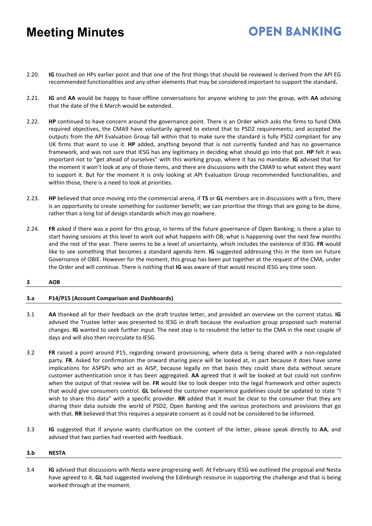2.20. **IG** touched on HPs earlier point and that one of the first things that should be reviewed is derived from the API EG recommended functionalities and any other elements that may be considered important to support the standard**.** 

**OPEN BANKING** 

- 2.21. **IG** and **AA** would be happy to have offline conversations for anyone wishing to join the group, with **AA** advising that the date of the 6 March would be extended.
- 2.22. **HP** continued to have concern around the governance point. There is an Order which asks the firms to fund CMA required objectives, the CMA9 have voluntarily agreed to extend that to PSD2 requirements; and accepted the outputs from the API Evaluation Group fall within that to make sure the standard is fully PSD2 compliant for any UK firms that want to use it. **HP** added, anything beyond that is not currently funded and has no governance framework, and was not sure that IESG has any legitimacy in deciding what should go into that pot. **HP** felt it was important not to "get ahead of ourselves" with this working group, where it has no mandate. **IG** advised that for the moment it won't look at any of those items, and there are discussions with the CMA9 to what extent they want to support it. But for the moment it is only looking at API Evaluation Group recommended functionalities, and within those, there is a need to look at priorities.
- 2.23. **HP** believed that once moving into the commercial arena, if **TS** or **GL** members are in discussions with a firm, there is an opportunity to create something for customer benefit; we can prioritise the things that are going to be done, rather than a long list of design standards which may go nowhere.
- 2.24. **FR** asked if there was a point for this group, in terms of the future governance of Open Banking; is there a plan to start having sessions at this level to work out what happens with OB; what is happening over the next few months and the rest of the year. There seems to be a level of uncertainty, which includes the existence of IESG. **FR** would like to see something that becomes a standard agenda item. **IG** suggested addressing this in the item on Future Governance of OBIE. However for the moment, this group has been put together at the request of the CMA, under the Order and will continue. There is nothing that **IG** was aware of that would rescind IESG any time soon.

#### **3 AOB**

#### **3.a P14/P15 (Account Comparison and Dashboards)**

- 3.1 **AA** thanked all for their feedback on the draft trustee letter, and provided an overview on the current status. **IG** advised the Trustee letter was presented to IESG in draft because the evaluation group proposed such material changes. **IG** wanted to seek further input. The next step is to resubmit the letter to the CMA in the next couple of days and will also then recirculate to IESG.
- 3.2 **FR** raised a point around P15, regarding onward provisioning, where data is being shared with a non-regulated party. **FR**. Asked for confirmation the onward sharing piece will be looked at, in part because it does have some implications for ASPSPs who act as AISP, because legally on that basis they could share data without secure customer authentication once it has been aggregated. **AA** agreed that it will be looked at but could not confirm when the output of that review will be. **FR** would like to look deeper into the legal framework and other aspects that would give consumers control. **GL** believed the customer experience guidelines could be updated to state "I wish to share this data" with a specific provider. **RR** added that it must be clear to the consumer that they are sharing their data outside the world of PSD2, Open Banking and the various protections and provisions that go with that. **RR** believed that this requires a separate consent as it could not be considered to be informed.
- 3.3 **IG** suggested that if anyone wants clarification on the content of the letter, please speak directly to **AA**, and advised that two parties had reverted with feedback.

#### **3.b NESTA**

3.4 **IG** advised that discussions with Nesta were progressing well. At February IESG we outlined the proposal and Nesta have agreed to it. **GL** had suggested involving the Edinburgh resource in supporting the challenge and that is being worked through at the moment.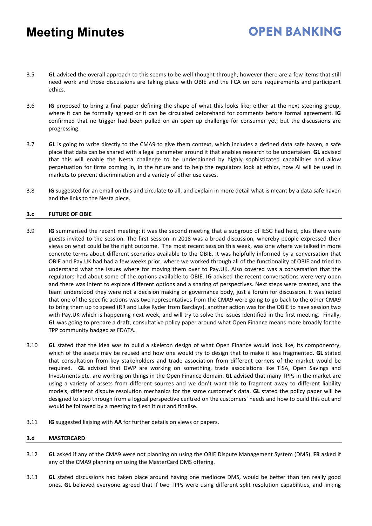3.5 **GL** advised the overall approach to this seems to be well thought through, however there are a few items that still need work and those discussions are taking place with OBIE and the FCA on core requirements and participant ethics.

**OPEN BANKING** 

- 3.6 **IG** proposed to bring a final paper defining the shape of what this looks like; either at the next steering group, where it can be formally agreed or it can be circulated beforehand for comments before formal agreement. **IG** confirmed that no trigger had been pulled on an open up challenge for consumer yet; but the discussions are progressing.
- 3.7 **GL** is going to write directly to the CMA9 to give them context, which includes a defined data safe haven, a safe place that data can be shared with a legal parameter around it that enables research to be undertaken. **GL** advised that this will enable the Nesta challenge to be underpinned by highly sophisticated capabilities and allow perpetuation for firms coming in, in the future and to help the regulators look at ethics, how AI will be used in markets to prevent discrimination and a variety of other use cases.
- 3.8 **IG** suggested for an email on this and circulate to all, and explain in more detail what is meant by a data safe haven and the links to the Nesta piece.

#### **3.c FUTURE OF OBIE**

- 3.9 **IG** summarised the recent meeting: it was the second meeting that a subgroup of IESG had held, plus there were guests invited to the session. The first session in 2018 was a broad discussion, whereby people expressed their views on what could be the right outcome. The most recent session this week, was one where we talked in more concrete terms about different scenarios available to the OBIE. It was helpfully informed by a conversation that OBIE and Pay.UK had had a few weeks prior, where we worked through all of the functionality of OBIE and tried to understand what the issues where for moving them over to Pay.UK. Also covered was a conversation that the regulators had about some of the options available to OBIE. **IG** advised the recent conversations were very open and there was intent to explore different options and a sharing of perspectives. Next steps were created, and the team understood they were not a decision making or governance body, just a forum for discussion. It was noted that one of the specific actions was two representatives from the CMA9 were going to go back to the other CMA9 to bring them up to speed (RR and Luke Ryder from Barclays), another action was for the OBIE to have session two with Pay.UK which is happening next week, and will try to solve the issues identified in the first meeting. Finally, **GL** was going to prepare a draft, consultative policy paper around what Open Finance means more broadly for the TPP community badged as FDATA.
- 3.10 **GL** stated that the idea was to build a skeleton design of what Open Finance would look like, its componentry, which of the assets may be reused and how one would try to design that to make it less fragmented. **GL** stated that consultation from key stakeholders and trade association from different corners of the market would be required. **GL** advised that DWP are working on something, trade associations like TISA, Open Savings and Investments etc. are working on things in the Open Finance domain. **GL** advised that many TPPs in the market are using a variety of assets from different sources and we don't want this to fragment away to different liability models, different dispute resolution mechanics for the same customer's data. **GL** stated the policy paper will be designed to step through from a logical perspective centred on the customers' needs and how to build this out and would be followed by a meeting to flesh it out and finalise.
- 3.11 **IG** suggested liaising with **AA** for further details on views or papers.

#### **3.d MASTERCARD**

- 3.12 **GL** asked if any of the CMA9 were not planning on using the OBIE Dispute Management System (DMS). **FR** asked if any of the CMA9 planning on using the MasterCard DMS offering.
- 3.13 **GL** stated discussions had taken place around having one mediocre DMS, would be better than ten really good ones. **GL** believed everyone agreed that if two TPPs were using different split resolution capabilities, and linking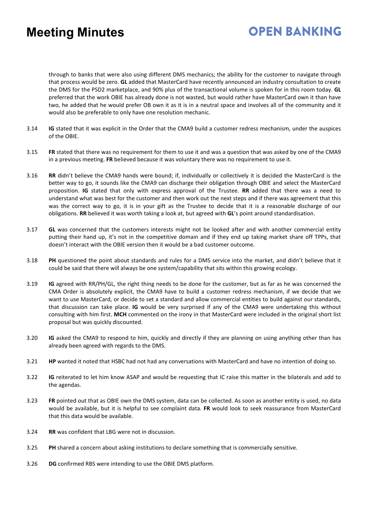## **OPEN BANKING**

through to banks that were also using different DMS mechanics; the ability for the customer to navigate through that process would be zero. **GL** added that MasterCard have recently announced an industry consultation to create the DMS for the PSD2 marketplace, and 90% plus of the transactional volume is spoken for in this room today. **GL** preferred that the work OBIE has already done is not wasted, but would rather have MasterCard own it than have two, he added that he would prefer OB own it as it is in a neutral space and involves all of the community and it would also be preferable to only have one resolution mechanic.

- 3.14 **IG** stated that it was explicit in the Order that the CMA9 build a customer redress mechanism, under the auspices of the OBIE.
- 3.15 **FR** stated that there was no requirement for them to use it and was a question that was asked by one of the CMA9 in a previous meeting. **FR** believed because it was voluntary there was no requirement to use it.
- 3.16 **RR** didn't believe the CMA9 hands were bound; if, individually or collectively it is decided the MasterCard is the better way to go, it sounds like the CMA9 can discharge their obligation through OBIE and select the MasterCard proposition. **IG** stated that only with express approval of the Trustee. **RR** added that there was a need to understand what was best for the customer and then work out the next steps and if there was agreement that this was the correct way to go, it is in your gift as the Trustee to decide that it is a reasonable discharge of our obligations. **RR** believed it was worth taking a look at, but agreed with **GL**'s point around standardisation.
- 3.17 **GL** was concerned that the customers interests might not be looked after and with another commercial entity putting their hand up, it's not in the competitive domain and if they end up taking market share off TPPs, that doesn't interact with the OBIE version then it would be a bad customer outcome.
- 3.18 **PH** questioned the point about standards and rules for a DMS service into the market, and didn't believe that it could be said that there will always be one system/capability that sits within this growing ecology.
- 3.19 **IG** agreed with RR/PH/GL, the right thing needs to be done for the customer, but as far as he was concerned the CMA Order is absolutely explicit, the CMA9 have to build a customer redress mechanism, if we decide that we want to use MasterCard, or decide to set a standard and allow commercial entities to build against our standards, that discussion can take place. **IG** would be very surprised if any of the CMA9 were undertaking this without consulting with him first. **MCH** commented on the irony in that MasterCard were included in the original short list proposal but was quickly discounted.
- 3.20 **IG** asked the CMA9 to respond to him, quickly and directly if they are planning on using anything other than has already been agreed with regards to the DMS.
- 3.21 **HP** wanted it noted that HSBC had not had any conversations with MasterCard and have no intention of doing so.
- 3.22 **IG** reiterated to let him know ASAP and would be requesting that IC raise this matter in the bilaterals and add to the agendas.
- 3.23 **FR** pointed out that as OBIE own the DMS system, data can be collected. As soon as another entity is used, no data would be available, but it is helpful to see complaint data. **FR** would look to seek reassurance from MasterCard that this data would be available.
- 3.24 **RR** was confident that LBG were not in discussion.
- 3.25 **PH** shared a concern about asking institutions to declare something that is commercially sensitive.
- 3.26 **DG** confirmed RBS were intending to use the OBIE DMS platform.